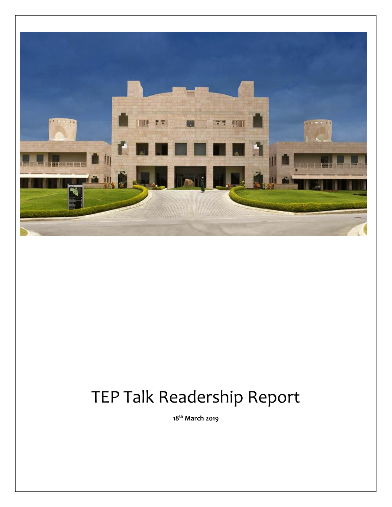

# TEP Talk Readership Report

**18th March 2019**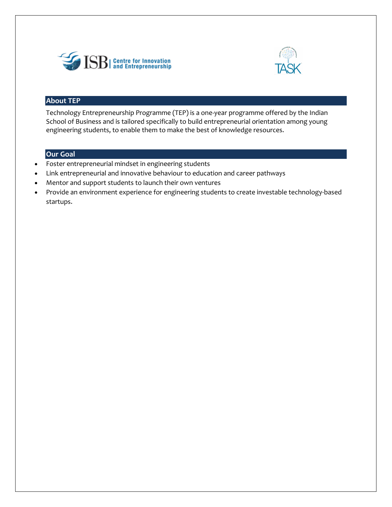



# **About TEP**

Technology Entrepreneurship Programme (TEP) is a one-year programme offered by the Indian School of Business and is tailored specifically to build entrepreneurial orientation among young engineering students, to enable them to make the best of knowledge resources.

# **Our Goal**

- Foster entrepreneurial mindset in engineering students
- Link entrepreneurial and innovative behaviour to education and career pathways
- Mentor and support students to launch their own ventures
- Provide an environment experience for engineering students to create investable technology-based startups.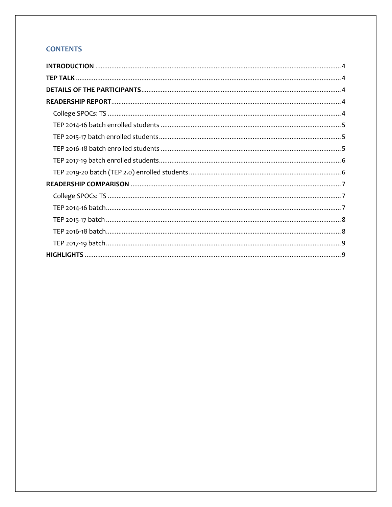# **CONTENTS**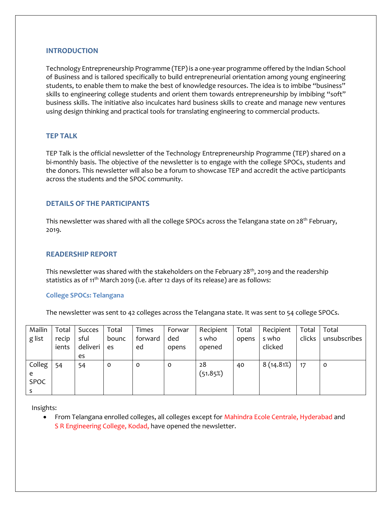## <span id="page-3-0"></span>**INTRODUCTION**

Technology Entrepreneurship Programme (TEP) is a one-year programme offered by the Indian School of Business and is tailored specifically to build entrepreneurial orientation among young engineering students, to enable them to make the best of knowledge resources. The idea is to imbibe "business" skills to engineering college students and orient them towards entrepreneurship by imbibing "soft" business skills. The initiative also inculcates hard business skills to create and manage new ventures using design thinking and practical tools for translating engineering to commercial products.

## <span id="page-3-1"></span>**TEP TALK**

TEP Talk is the official newsletter of the Technology Entrepreneurship Programme (TEP) shared on a bi-monthly basis. The objective of the newsletter is to engage with the college SPOCs, students and the donors. This newsletter will also be a forum to showcase TEP and accredit the active participants across the students and the SPOC community.

## <span id="page-3-2"></span>**DETAILS OF THE PARTICIPANTS**

<span id="page-3-3"></span>This newsletter was shared with all the college SPOCs across the Telangana state on  $28^{th}$  February, 2019.

#### **READERSHIP REPORT**

This newsletter was shared with the stakeholders on the February 28<sup>th</sup>, 2019 and the readership statistics as of 11<sup>th</sup> March 2019 (i.e. after 12 days of its release) are as follows:

## <span id="page-3-4"></span>**College SPOCs: Telangana**

The newsletter was sent to 42 colleges across the Telangana state. It was sent to 54 college SPOCs.

| Mailin      | Total | Succes   | Total | Times   | Forwar  | Recipient | Total | Recipient | Total  | Total        |
|-------------|-------|----------|-------|---------|---------|-----------|-------|-----------|--------|--------------|
| g list      | recip | sful     | bounc | forward | ded     | s who     | opens | s who     | clicks | unsubscribes |
|             | ients | deliveri | es    | ed      | opens   | opened    |       | clicked   |        |              |
|             |       | es       |       |         |         |           |       |           |        |              |
| Colleg      | 54    | 54       | 0     | O       | $\circ$ | 28        | 40    | 8(14.81%) | 17     | $\circ$      |
| e           |       |          |       |         |         | (51.85%)  |       |           |        |              |
| <b>SPOC</b> |       |          |       |         |         |           |       |           |        |              |
|             |       |          |       |         |         |           |       |           |        |              |

Insights:

• From Telangana enrolled colleges, all colleges except for Mahindra Ecole Centrale, Hyderabad and S R Engineering College, Kodad, have opened the newsletter.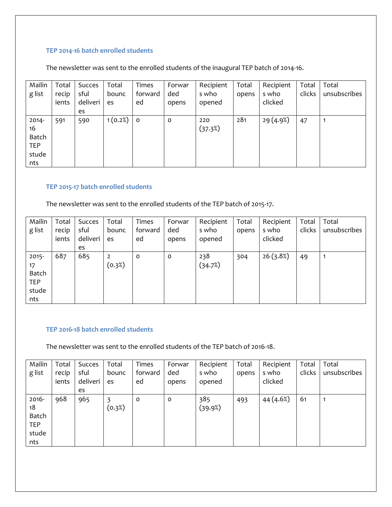## <span id="page-4-0"></span>**TEP 2014-16 batch enrolled students**

The newsletter was sent to the enrolled students of the inaugural TEP batch of 2014-16.

| Mailin<br>g list                                      | Total<br>recip<br>ients | Succes<br>sful<br>deliveri<br>es | Total<br>bounc<br>es | <b>Times</b><br>forward<br>ed | Forwar<br>ded<br>opens | Recipient<br>s who<br>opened | Total<br>opens | Recipient<br>s who<br>clicked | Total<br>clicks | Total<br>unsubscribes |
|-------------------------------------------------------|-------------------------|----------------------------------|----------------------|-------------------------------|------------------------|------------------------------|----------------|-------------------------------|-----------------|-----------------------|
| $2014 -$<br>16<br>Batch<br><b>TEP</b><br>stude<br>nts | 591                     | 590                              | 1(0.2%)              | $\overline{\mathbf{0}}$       | 0                      | 220<br>(37.3%)               | 281            | 29 (4.9%)                     | 47              | 1                     |

## <span id="page-4-1"></span>**TEP 2015-17 batch enrolled students**

The newsletter was sent to the enrolled students of the TEP batch of 2015-17.

| Mailin     | Total | Succes   | Total          | <b>Times</b> | Forwar | Recipient | Total | Recipient | Total  | Total        |
|------------|-------|----------|----------------|--------------|--------|-----------|-------|-----------|--------|--------------|
| g list     | recip | sful     | bounc          | forward      | ded    | s who     | opens | s who     | clicks | unsubscribes |
|            | ients | deliveri | es             | ed           | opens  | opened    |       | clicked   |        |              |
|            |       | es       |                |              |        |           |       |           |        |              |
| $2015 -$   | 687   | 685      | $\overline{2}$ | $\circ$      | 0      | 238       | 304   | 26(3.8%)  | 49     |              |
| 17         |       |          | (0.3%)         |              |        | (34.7%)   |       |           |        |              |
| Batch      |       |          |                |              |        |           |       |           |        |              |
| <b>TEP</b> |       |          |                |              |        |           |       |           |        |              |
| stude      |       |          |                |              |        |           |       |           |        |              |
| nts        |       |          |                |              |        |           |       |           |        |              |

## <span id="page-4-2"></span>**TEP 2016-18 batch enrolled students**

The newsletter was sent to the enrolled students of the TEP batch of 2016-18.

| Mailin     | Total | Succes   | Total  | <b>Times</b> | Forwar  | Recipient | Total | Recipient | Total  | Total        |
|------------|-------|----------|--------|--------------|---------|-----------|-------|-----------|--------|--------------|
| g list     | recip | sful     | bounc  | forward      | ded     | s who     | opens | s who     | clicks | unsubscribes |
|            | ients | deliveri | es     | ed           | opens   | opened    |       | clicked   |        |              |
|            |       | es       |        |              |         |           |       |           |        |              |
| 2016-      | 968   | 965      | 3      | 0            | $\circ$ | 385       | 493   | 44 (4.6%) | 61     |              |
| 18         |       |          | (0.3%) |              |         | (39.9%)   |       |           |        |              |
| Batch      |       |          |        |              |         |           |       |           |        |              |
| <b>TEP</b> |       |          |        |              |         |           |       |           |        |              |
| stude      |       |          |        |              |         |           |       |           |        |              |
| nts        |       |          |        |              |         |           |       |           |        |              |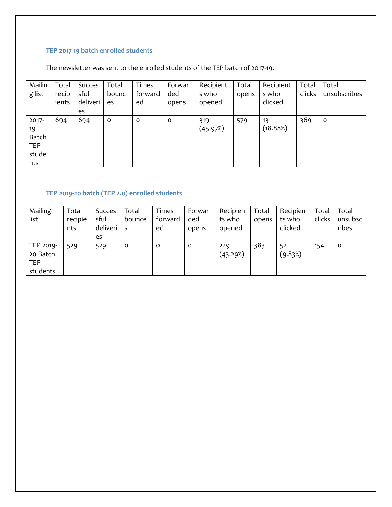# <span id="page-5-0"></span>**TEP 2017-19 batch enrolled students**

The newsletter was sent to the enrolled students of the TEP batch of 2017-19.

| Mailin<br>g list | Total<br>recip | Succes<br>sful | Total<br>bounc | Times<br>forward | Forwar<br>ded | Recipient<br>s who | Total<br>opens | Recipient<br>s who | Total<br>clicks | Total<br>unsubscribes |
|------------------|----------------|----------------|----------------|------------------|---------------|--------------------|----------------|--------------------|-----------------|-----------------------|
|                  | ients          | deliveri       | es             | ed               | opens         | opened             |                | clicked            |                 |                       |
|                  |                | es             |                |                  |               |                    |                |                    |                 |                       |
| $2017 -$         | 694            | 694            | $\mathbf 0$    | $\circ$          | $\mathbf 0$   | 319                | 579            | 131                | 369             | $\mathbf{o}$          |
| 19               |                |                |                |                  |               | (45.97%)           |                | (18.88%)           |                 |                       |
| Batch            |                |                |                |                  |               |                    |                |                    |                 |                       |
| <b>TEP</b>       |                |                |                |                  |               |                    |                |                    |                 |                       |
| stude            |                |                |                |                  |               |                    |                |                    |                 |                       |
| nts              |                |                |                |                  |               |                    |                |                    |                 |                       |

# <span id="page-5-1"></span>**TEP 2019-20 batch (TEP 2.0) enrolled students**

| Mailing    | Total   | Succes   | Total   | <b>Times</b> | Forwar | Recipien | Total | Recipien | Total  | Total   |
|------------|---------|----------|---------|--------------|--------|----------|-------|----------|--------|---------|
| list       | recipie | sful     | bounce  | forward      | ded    | ts who   | opens | ts who   | clicks | unsubsc |
|            | nts     | deliveri |         | ed           | opens  | opened   |       | clicked  |        | ribes   |
|            |         | es       |         |              |        |          |       |          |        |         |
| TEP 2019-  | 529     | 529      | $\circ$ | 0            | 0      | 229      | 383   | 52       | 154    | $\circ$ |
| 20 Batch   |         |          |         |              |        | (43.29%) |       | (9.83%)  |        |         |
| <b>TEP</b> |         |          |         |              |        |          |       |          |        |         |
| students   |         |          |         |              |        |          |       |          |        |         |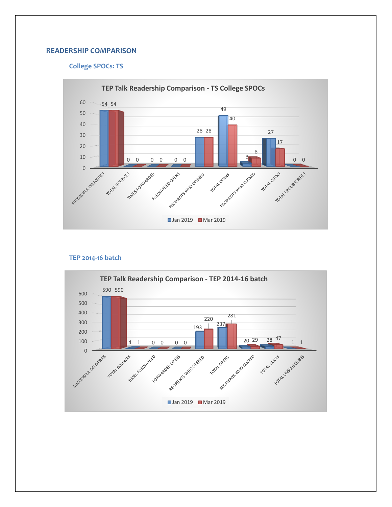## <span id="page-6-1"></span><span id="page-6-0"></span>**READERSHIP COMPARISON**

## **College SPOCs: TS**



#### **TEP 2014-16 batch**

<span id="page-6-2"></span>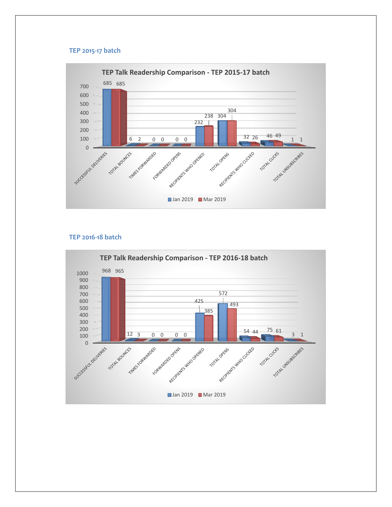#### **TEP 2015-17 batch**

<span id="page-7-0"></span>

## **TEP 2016-18 batch**

<span id="page-7-1"></span>